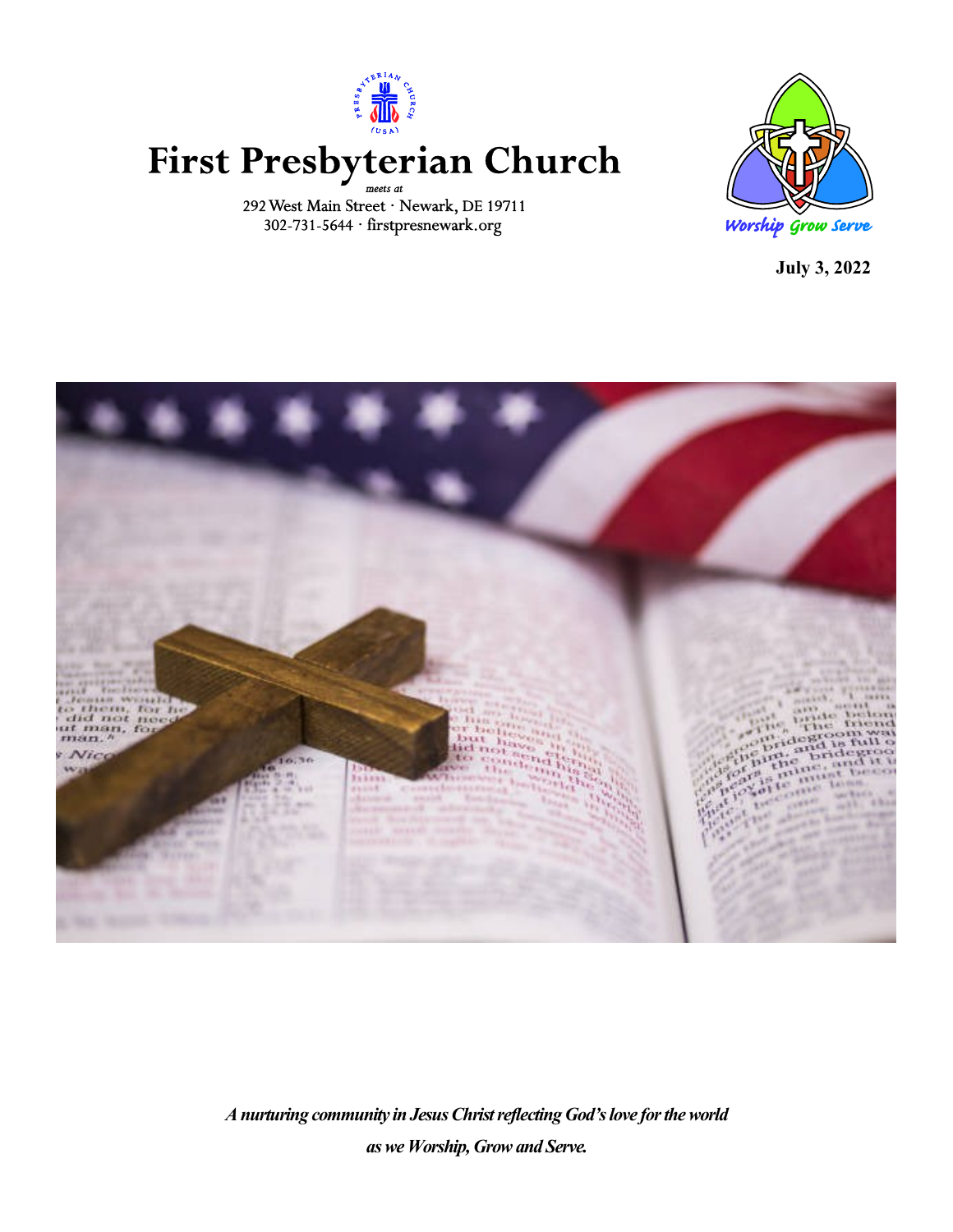

# First Presbyterian Church

292 West Main Street · Newark, DE 19711 302-731-5644 · firstpresnewark.org



**July 3, 2022**



*A nurturing community in Jesus Christ reflecting God's love for the world as we Worship, Grow and Serve.*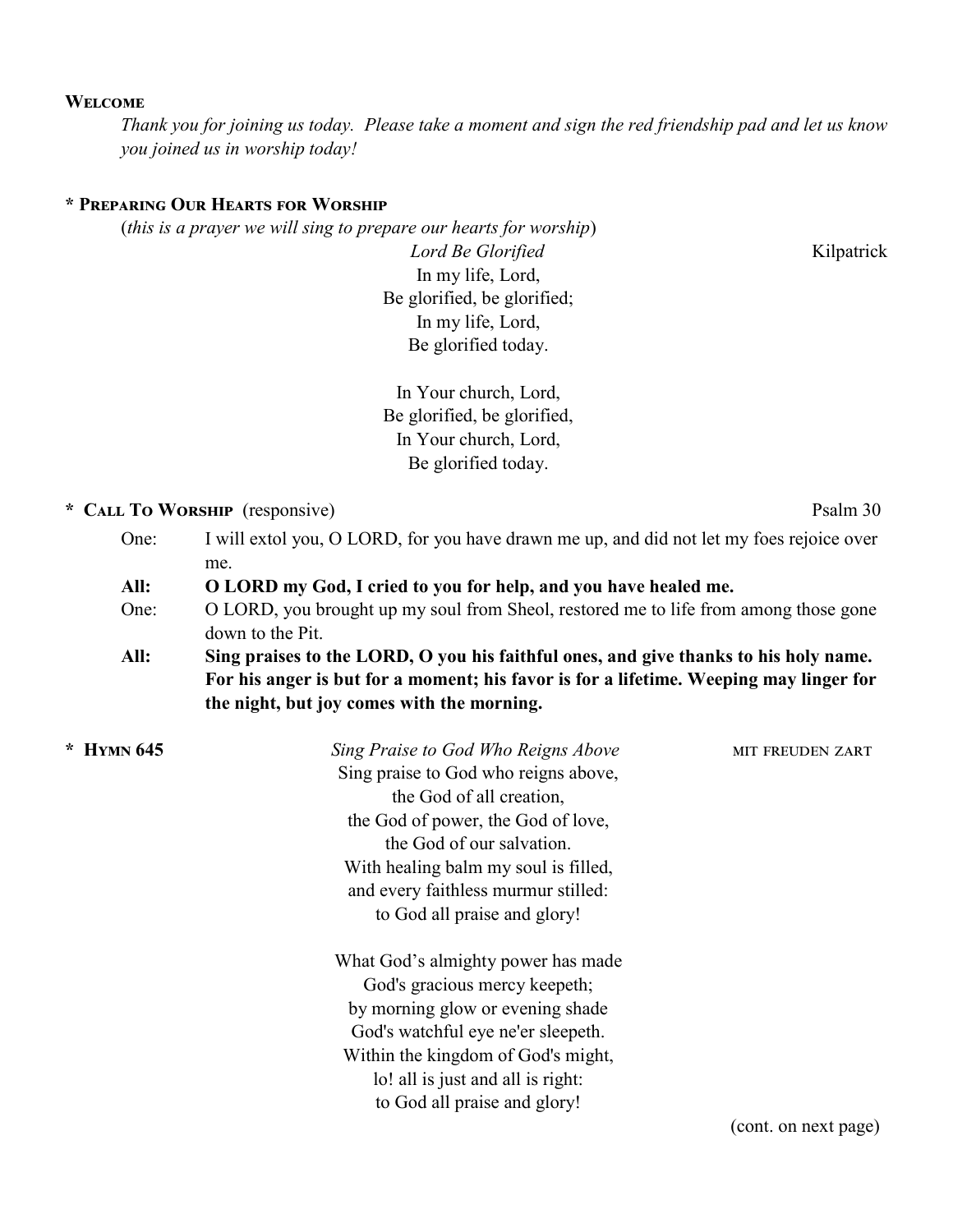### **Welcome**

*Thank you for joining us today. Please take a moment and sign the red friendship pad and let us know you joined us in worship today!*

### **\* Preparing Our Hearts for Worship**

(*this is a prayer we will sing to prepare our hearts for worship*)

*Lord Be Glorified* **Kilpatrick** In my life, Lord, Be glorified, be glorified; In my life, Lord, Be glorified today.

In Your church, Lord, Be glorified, be glorified, In Your church, Lord, Be glorified today.

### **\* Call To Worship** (responsive) Psalm 30

- One: I will extol you, O LORD, for you have drawn me up, and did not let my foes rejoice over me.
- **All: O LORD my God, I cried to you for help, and you have healed me.**
- One: O LORD, you brought up my soul from Sheol, restored me to life from among those gone down to the Pit.
- **All: Sing praises to the LORD, O you his faithful ones, and give thanks to his holy name. For his anger is but for a moment; his favor is for a lifetime. Weeping may linger for the night, but joy comes with the morning.**

| $*$ HYMN 645 | Sing Praise to God Who Reigns Above  | <b>MIT FREUDEN ZART</b>                           |
|--------------|--------------------------------------|---------------------------------------------------|
|              | Sing praise to God who reigns above, |                                                   |
|              | the God of all creation,             |                                                   |
|              | the God of power, the God of love,   |                                                   |
|              | the God of our salvation.            |                                                   |
|              | With healing balm my soul is filled, |                                                   |
|              | and every faithless murmur stilled:  |                                                   |
|              | to God all praise and glory!         |                                                   |
|              | What God's almighty power has made   |                                                   |
|              | God's gracious mercy keepeth;        |                                                   |
|              | by morning glow or evening shade     |                                                   |
|              | God's watchful eye ne'er sleepeth.   |                                                   |
|              | Within the kingdom of God's might,   |                                                   |
|              | lo! all is just and all is right:    |                                                   |
|              | to God all praise and glory!         |                                                   |
|              |                                      | $\mathcal{L}$ and $\mathcal{L}$ and $\mathcal{L}$ |

(cont. on next page)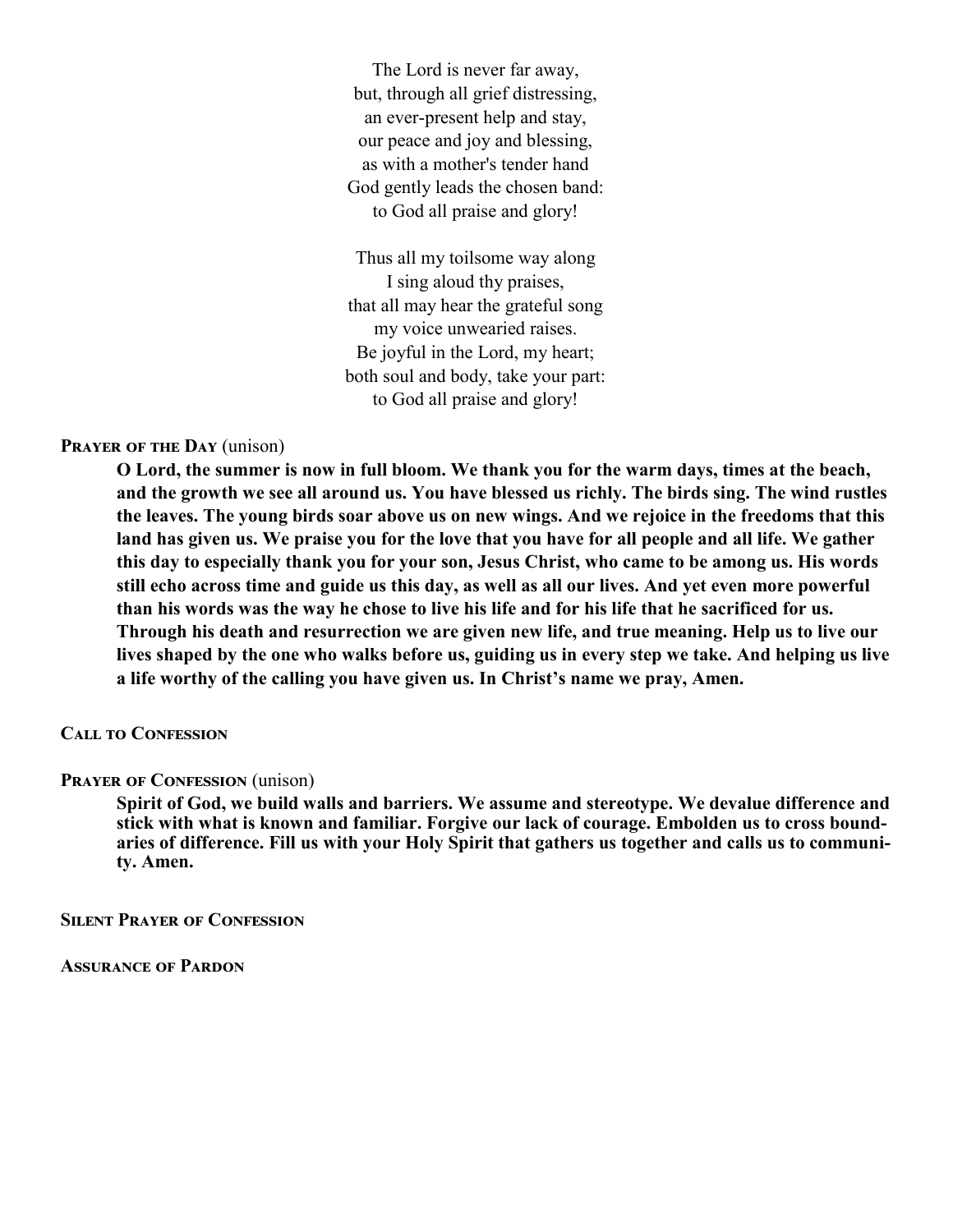The Lord is never far away, but, through all grief distressing, an ever-present help and stay, our peace and joy and blessing, as with a mother's tender hand God gently leads the chosen band: to God all praise and glory!

Thus all my toilsome way along I sing aloud thy praises, that all may hear the grateful song my voice unwearied raises. Be joyful in the Lord, my heart; both soul and body, take your part: to God all praise and glory!

### **Prayer of the Day** (unison)

 **O Lord, the summer is now in full bloom. We thank you for the warm days, times at the beach, and the growth we see all around us. You have blessed us richly. The birds sing. The wind rustles the leaves. The young birds soar above us on new wings. And we rejoice in the freedoms that this**  land has given us. We praise you for the love that you have for all people and all life. We gather **this day to especially thank you for your son, Jesus Christ, who came to be among us. His words still echo across time and guide us this day, as well as all our lives. And yet even more powerful than his words was the way he chose to live his life and for his life that he sacrificed for us. Through his death and resurrection we are given new life, and true meaning. Help us to live our lives shaped by the one who walks before us, guiding us in every step we take. And helping us live a life worthy of the calling you have given us. In Christ's name we pray, Amen.**

### **Call to Confession**

### **PRAYER OF CONFESSION** (unison)

**Spirit of God, we build walls and barriers. We assume and stereotype. We devalue difference and stick with what is known and familiar. Forgive our lack of courage. Embolden us to cross bound**aries of difference. Fill us with your Holy Spirit that gathers us together and calls us to communi**ty. Amen.** 

**Silent Prayer of Confession**

**Assurance of Pardon**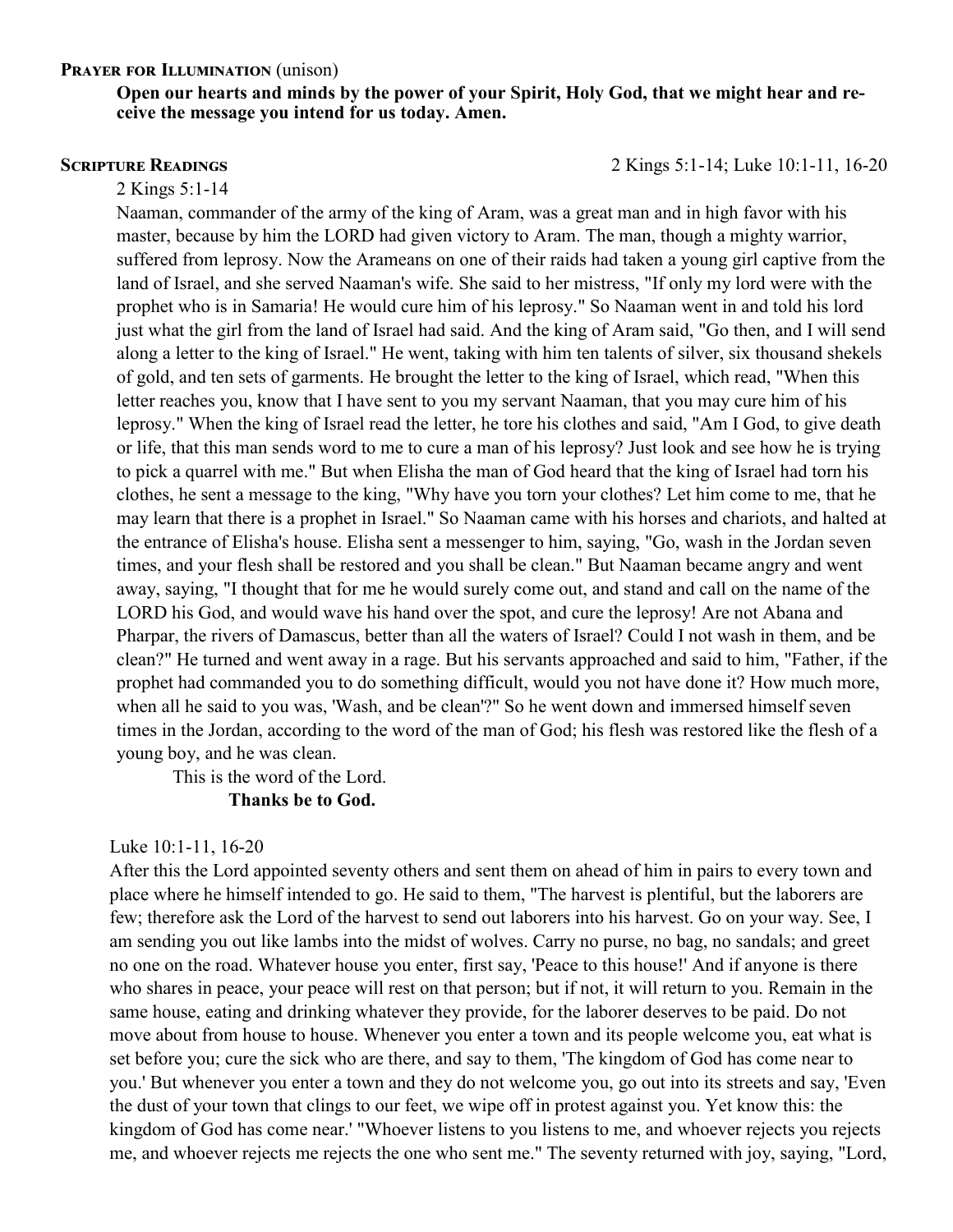### **PRAYER FOR ILLUMINATION** (unison)

**Open our hearts and minds by the power of your Spirit, Holy God, that we might hear and receive the message you intend for us today. Amen.** 

**Scripture Readings** 2 Kings 5:1-14; Luke 10:1-11, 16-20

#### 2 Kings 5:1-14

Naaman, commander of the army of the king of Aram, was a great man and in high favor with his master, because by him the LORD had given victory to Aram. The man, though a mighty warrior, suffered from leprosy. Now the Arameans on one of their raids had taken a young girl captive from the land of Israel, and she served Naaman's wife. She said to her mistress, "If only my lord were with the prophet who is in Samaria! He would cure him of his leprosy." So Naaman went in and told his lord just what the girl from the land of Israel had said. And the king of Aram said, "Go then, and I will send along a letter to the king of Israel." He went, taking with him ten talents of silver, six thousand shekels of gold, and ten sets of garments. He brought the letter to the king of Israel, which read, "When this letter reaches you, know that I have sent to you my servant Naaman, that you may cure him of his leprosy." When the king of Israel read the letter, he tore his clothes and said, "Am I God, to give death or life, that this man sends word to me to cure a man of his leprosy? Just look and see how he is trying to pick a quarrel with me." But when Elisha the man of God heard that the king of Israel had torn his clothes, he sent a message to the king, "Why have you torn your clothes? Let him come to me, that he may learn that there is a prophet in Israel." So Naaman came with his horses and chariots, and halted at the entrance of Elisha's house. Elisha sent a messenger to him, saying, "Go, wash in the Jordan seven times, and your flesh shall be restored and you shall be clean." But Naaman became angry and went away, saying, "I thought that for me he would surely come out, and stand and call on the name of the LORD his God, and would wave his hand over the spot, and cure the leprosy! Are not Abana and Pharpar, the rivers of Damascus, better than all the waters of Israel? Could I not wash in them, and be clean?" He turned and went away in a rage. But his servants approached and said to him, "Father, if the prophet had commanded you to do something difficult, would you not have done it? How much more, when all he said to you was, 'Wash, and be clean'?" So he went down and immersed himself seven times in the Jordan, according to the word of the man of God; his flesh was restored like the flesh of a young boy, and he was clean.

This is the word of the Lord.

### **Thanks be to God.**

### Luke 10:1-11, 16-20

After this the Lord appointed seventy others and sent them on ahead of him in pairs to every town and place where he himself intended to go. He said to them, "The harvest is plentiful, but the laborers are few; therefore ask the Lord of the harvest to send out laborers into his harvest. Go on your way. See, I am sending you out like lambs into the midst of wolves. Carry no purse, no bag, no sandals; and greet no one on the road. Whatever house you enter, first say, 'Peace to this house!' And if anyone is there who shares in peace, your peace will rest on that person; but if not, it will return to you. Remain in the same house, eating and drinking whatever they provide, for the laborer deserves to be paid. Do not move about from house to house. Whenever you enter a town and its people welcome you, eat what is set before you; cure the sick who are there, and say to them, 'The kingdom of God has come near to you.' But whenever you enter a town and they do not welcome you, go out into its streets and say, 'Even the dust of your town that clings to our feet, we wipe off in protest against you. Yet know this: the kingdom of God has come near.' "Whoever listens to you listens to me, and whoever rejects you rejects me, and whoever rejects me rejects the one who sent me." The seventy returned with joy, saying, "Lord,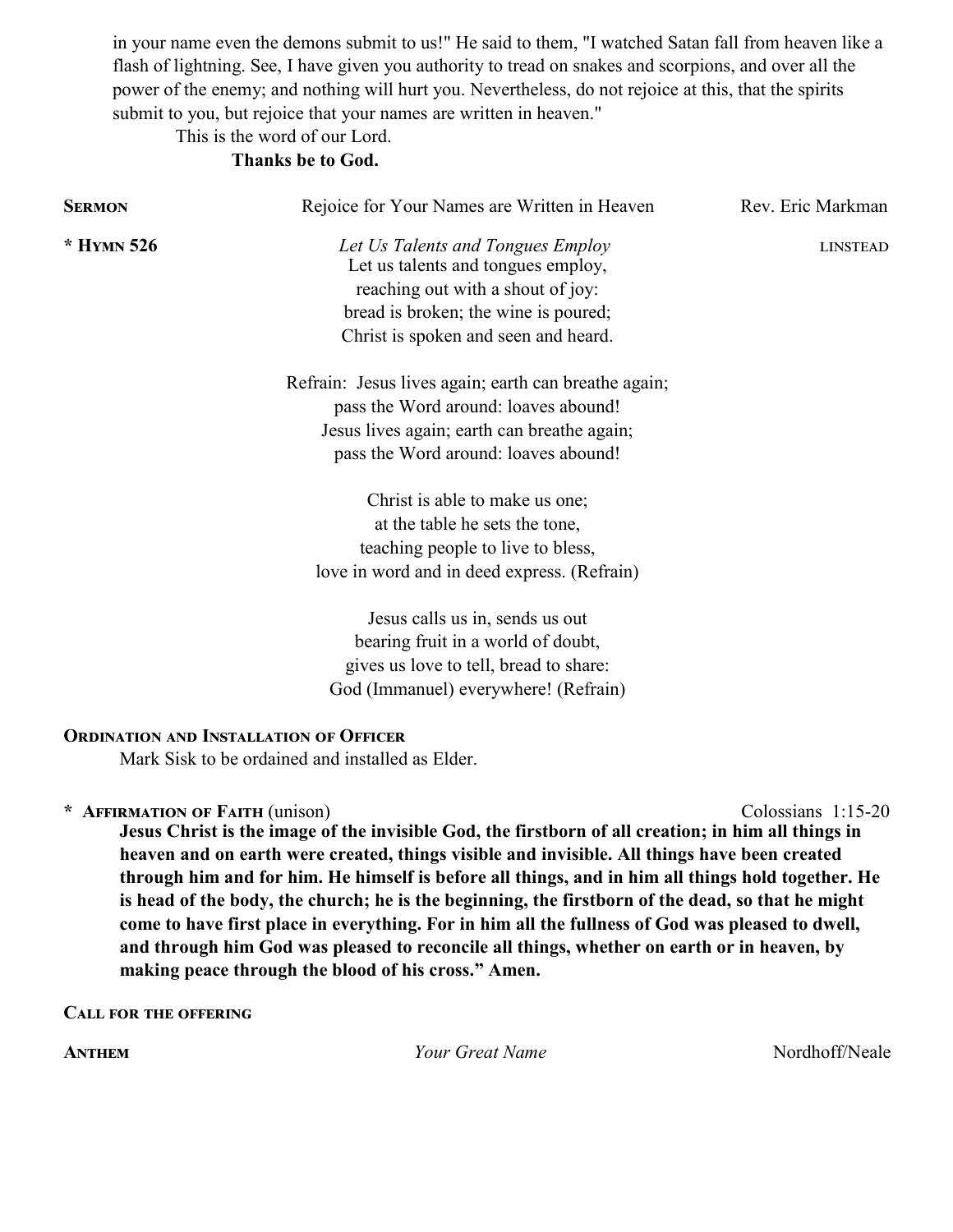in your name even the demons submit to us!" He said to them, "I watched Satan fall from heaven like a flash of lightning. See, I have given you authority to tread on snakes and scorpions, and over all the power of the enemy; and nothing will hurt you. Nevertheless, do not rejoice at this, that the spirits submit to you, but rejoice that your names are written in heaven."

### This is the word of our Lord. **Thanks be to God.**

| <b>SERMON</b> | Rejoice for Your Names are Written in Heaven                                                                                                                                                 | Rev. Eric Markman |
|---------------|----------------------------------------------------------------------------------------------------------------------------------------------------------------------------------------------|-------------------|
| $*$ HYMN 526  | Let Us Talents and Tongues Employ<br>Let us talents and tongues employ,<br>reaching out with a shout of joy:<br>bread is broken; the wine is poured;<br>Christ is spoken and seen and heard. | <b>LINSTEAD</b>   |
|               | Refrain: Jesus lives again; earth can breathe again;<br>pass the Word around: loaves abound!<br>Jesus lives again; earth can breathe again;<br>pass the Word around: loaves abound!          |                   |
|               | Christ is able to make us one;<br>at the table he sets the tone,<br>teaching people to live to bless,<br>love in word and in deed express. (Refrain)                                         |                   |
|               | Jesus calls us in, sends us out<br>bearing fruit in a world of doubt,<br>gives us love to tell, bread to share:<br>God (Immanuel) everywhere! (Refrain)                                      |                   |
|               | <b>ORDINATION AND INSTALLATION OF OFFICER</b><br>Mark Sisk to be ordained and installed as Elder.                                                                                            |                   |

**\* Affirmation of Faith** (unison) Colossians 1:15-20

**Jesus Christ is the image of the invisible God, the firstborn of all creation; in him all things in heaven and on earth were created, things visible and invisible. All things have been created through him and for him. He himself is before all things, and in him all things hold together. He is head of the body, the church; he is the beginning, the firstborn of the dead, so that he might come to have first place in everything. For in him all the fullness of God was pleased to dwell, and through him God was pleased to reconcile all things, whether on earth or in heaven, by making peace through the blood of his cross." Amen.** 

**Call for the offering**

**ANTHEM** *Your Great Name* Mordhoff/Neale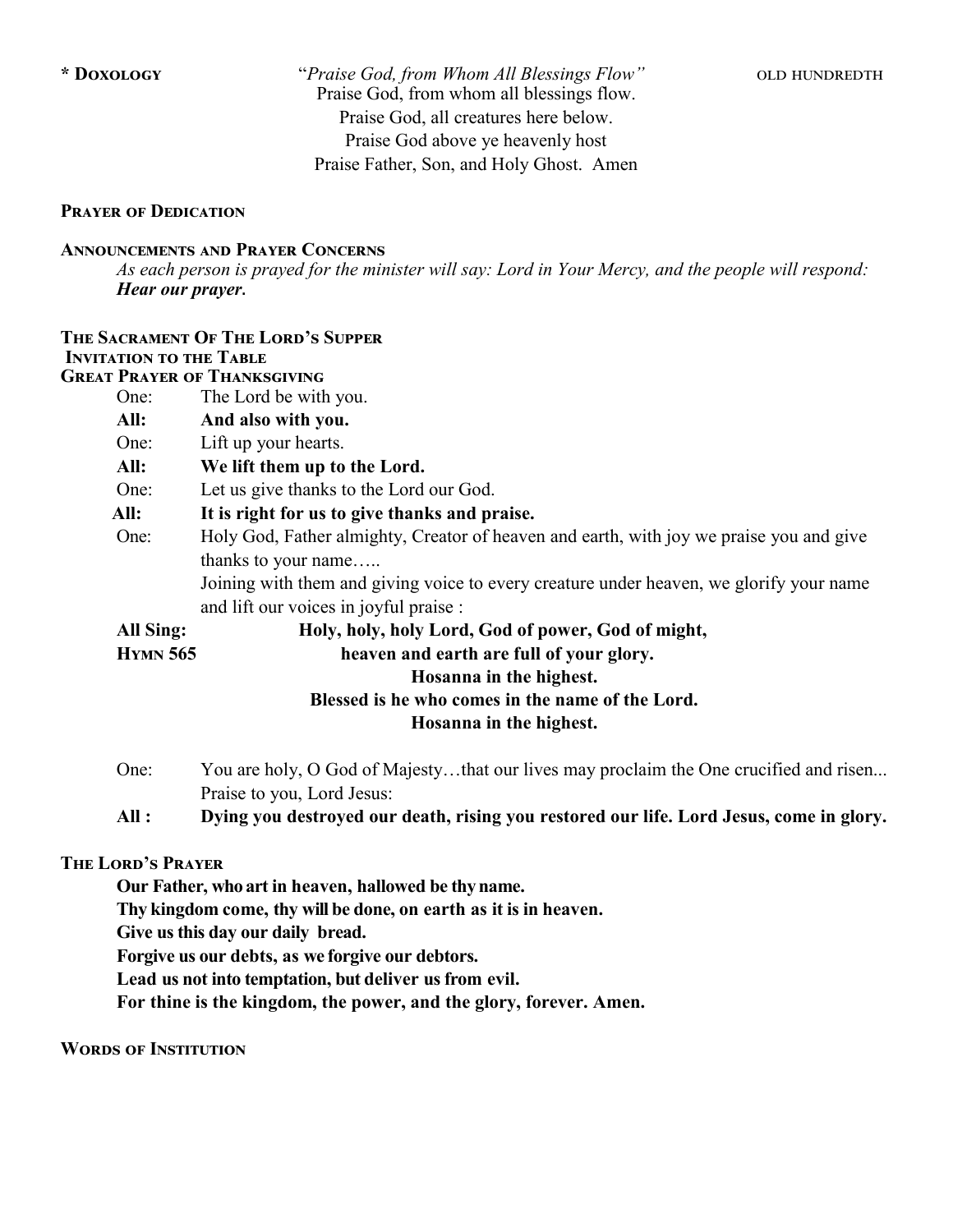**\* Doxology** "*Praise God, from Whom All Blessings Flow"* old hundredth Praise God, from whom all blessings flow. Praise God, all creatures here below. Praise God above ye heavenly host Praise Father, Son, and Holy Ghost. Amen

### **Prayer of Dedication**

### **Announcements and Prayer Concerns**

*As each person is prayed for the minister will say: Lord in Your Mercy, and the people will respond: Hear our prayer***.**

|                                                  | THE SACRAMENT OF THE LORD'S SUPPER                                                      |  |  |
|--------------------------------------------------|-----------------------------------------------------------------------------------------|--|--|
| <b>INVITATION TO THE TABLE</b>                   |                                                                                         |  |  |
| <b>GREAT PRAYER OF THANKSGIVING</b>              |                                                                                         |  |  |
| One:                                             | The Lord be with you.                                                                   |  |  |
| All:                                             | And also with you.                                                                      |  |  |
| One:                                             | Lift up your hearts.                                                                    |  |  |
| All:                                             | We lift them up to the Lord.                                                            |  |  |
| One:                                             | Let us give thanks to the Lord our God.                                                 |  |  |
| All:                                             | It is right for us to give thanks and praise.                                           |  |  |
| One:                                             | Holy God, Father almighty, Creator of heaven and earth, with joy we praise you and give |  |  |
|                                                  | thanks to your name                                                                     |  |  |
|                                                  | Joining with them and giving voice to every creature under heaven, we glorify your name |  |  |
|                                                  | and lift our voices in joyful praise :                                                  |  |  |
| All Sing:                                        | Holy, holy, holy Lord, God of power, God of might,                                      |  |  |
| <b>HYMN</b> 565                                  | heaven and earth are full of your glory.                                                |  |  |
|                                                  | Hosanna in the highest.                                                                 |  |  |
| Blessed is he who comes in the name of the Lord. |                                                                                         |  |  |
| Hosanna in the highest.                          |                                                                                         |  |  |

- One: You are holy, O God of Majesty…that our lives may proclaim the One crucified and risen... Praise to you, Lord Jesus:
- **All : Dying you destroyed our death, rising you restored our life. Lord Jesus, come in glory.**

### **The Lord's Prayer**

**Our Father, who art in heaven, hallowed be thy name.**

**Thy kingdom come, thy will be done, on earth as it is in heaven.** 

**Give us this day our daily bread.**

**Forgive us our debts, as we forgive our debtors.** 

**Lead us not into temptation, but deliver us from evil.**

**For thine is the kingdom, the power, and the glory, forever. Amen.**

**Words of Institution**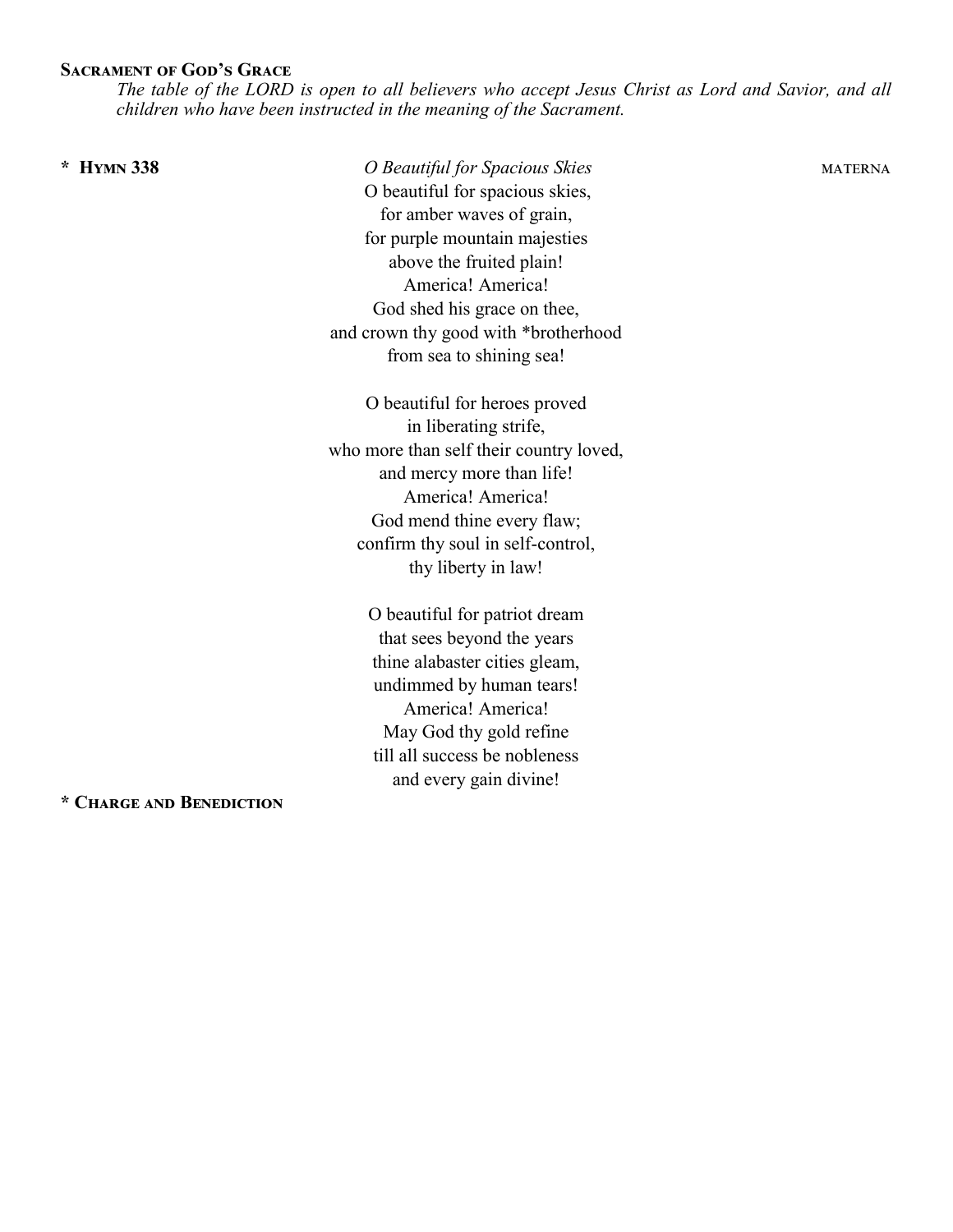### **Sacrament of God's Grace**

*The table of the LORD is open to all believers who accept Jesus Christ as Lord and Savior, and all children who have been instructed in the meaning of the Sacrament.* 

**\* Hymn 338** *O Beautiful for Spacious Skies* materna O beautiful for spacious skies, for amber waves of grain, for purple mountain majesties above the fruited plain! America! America! God shed his grace on thee, and crown thy good with \*brotherhood from sea to shining sea!

> O beautiful for heroes proved in liberating strife, who more than self their country loved, and mercy more than life! America! America! God mend thine every flaw; confirm thy soul in self-control, thy liberty in law!

> > O beautiful for patriot dream that sees beyond the years thine alabaster cities gleam, undimmed by human tears! America! America! May God thy gold refine till all success be nobleness and every gain divine!

**\* Charge and Benediction**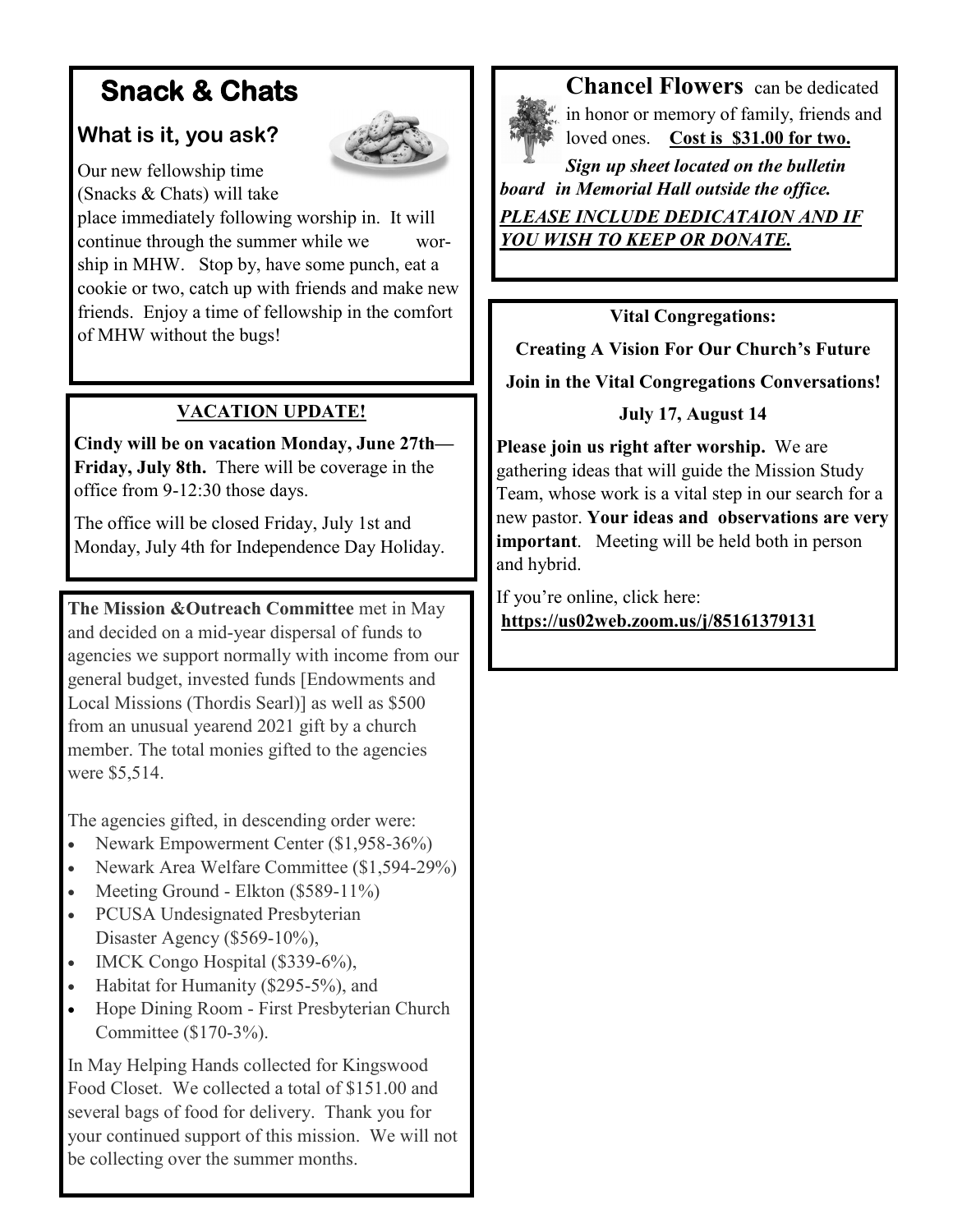# **Snack & Chats**

## **What is it, you ask?**



Our new fellowship time (Snacks & Chats) will take

place immediately following worship in. It will continue through the summer while we worship in MHW. Stop by, have some punch, eat a cookie or two, catch up with friends and make new friends. Enjoy a time of fellowship in the comfort of MHW without the bugs!

### **VACATION UPDATE!**

**Cindy will be on vacation Monday, June 27th— Friday, July 8th.** There will be coverage in the office from 9-12:30 those days.

The office will be closed Friday, July 1st and Monday, July 4th for Independence Day Holiday.

**The Mission &Outreach Committee** met in May and decided on a mid-year dispersal of funds to agencies we support normally with income from our general budget, invested funds [Endowments and Local Missions (Thordis Searl)] as well as \$500 from an unusual yearend 2021 gift by a church member. The total monies gifted to the agencies were \$5,514.

The agencies gifted, in descending order were:

- Newark Empowerment Center (\$1,958-36%)
- Newark Area Welfare Committee (\$1,594-29%)
- Meeting Ground Elkton (\$589-11%)
- PCUSA Undesignated Presbyterian Disaster Agency (\$569-10%),
- IMCK Congo Hospital (\$339-6%),
- Habitat for Humanity (\$295-5%), and
- Hope Dining Room First Presbyterian Church Committee (\$170-3%).

In May Helping Hands collected for Kingswood Food Closet. We collected a total of \$151.00 and several bags of food for delivery. Thank you for your continued support of this mission. We will not be collecting over the summer months.



**Chancel Flowers** can be dedicated in honor or memory of family, friends and loved ones. **Cost is \$31.00 for two.** 

*Sign up sheet located on the bulletin board in Memorial Hall outside the office. PLEASE INCLUDE DEDICATAION AND IF YOU WISH TO KEEP OR DONATE.* 

**Vital Congregations:** 

**Creating A Vision For Our Church's Future Join in the Vital Congregations Conversations!**

### **July 17, August 14**

**Please join us right after worship.** We are gathering ideas that will guide the Mission Study Team, whose work is a vital step in our search for a new pastor. **Your ideas and observations are very important**. Meeting will be held both in person and hybrid.

If you're online, click here: **<https://us02web.zoom.us/j/85161379131>**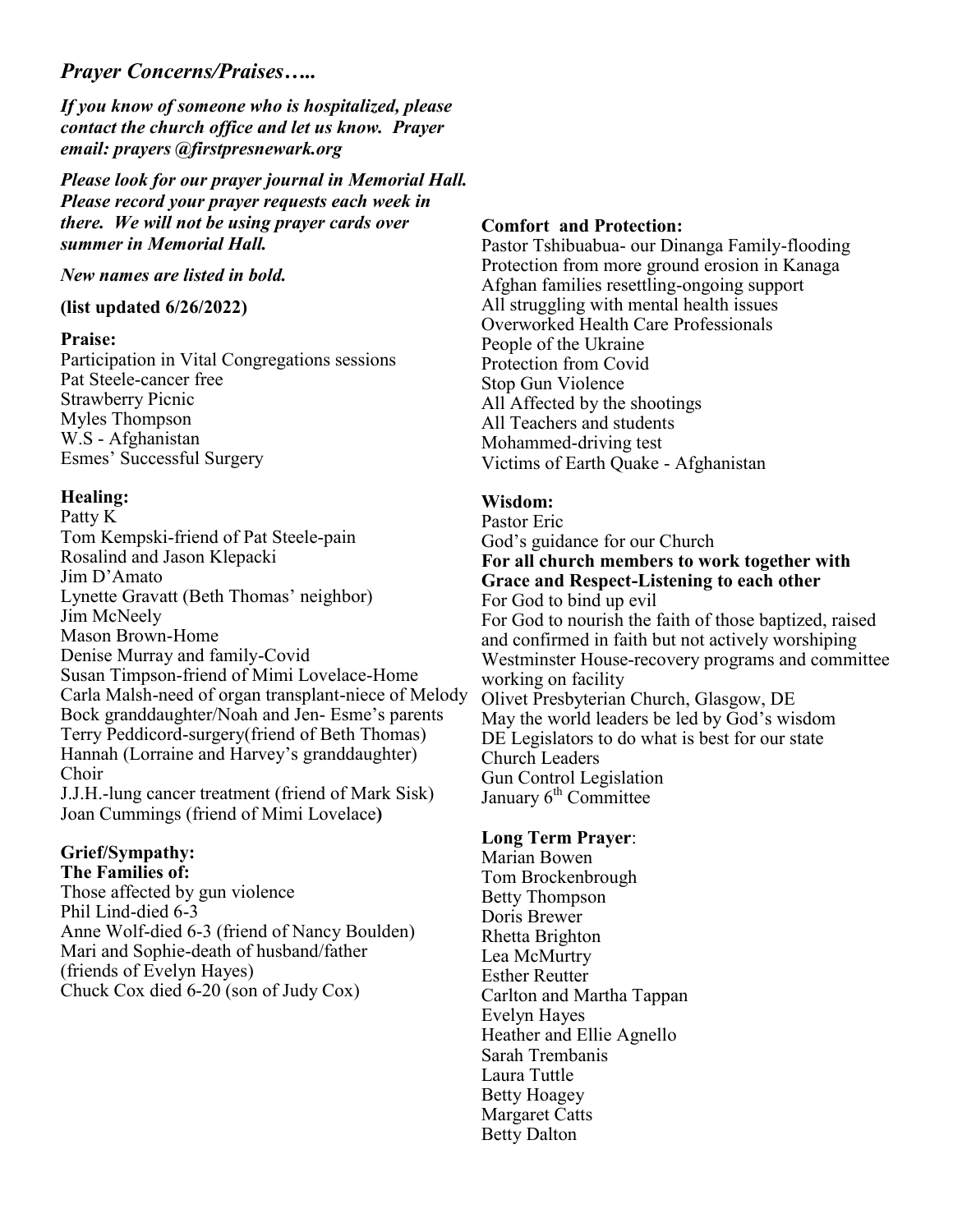### *Prayer Concerns/Praises…..*

*If you know of someone who is hospitalized, please contact the church office and let us know. Prayer email: prayers @firstpresnewark.org* 

*Please look for our prayer journal in Memorial Hall. Please record your prayer requests each week in there. We will not be using prayer cards over summer in Memorial Hall.*

*New names are listed in bold.*

### **(list updated 6/26/2022)**

### **Praise:**

Participation in Vital Congregations sessions Pat Steele-cancer free Strawberry Picnic Myles Thompson W.S - Afghanistan Esmes' Successful Surgery

### **Healing:**

Patty K Tom Kempski-friend of Pat Steele-pain Rosalind and Jason Klepacki Jim D'Amato Lynette Gravatt (Beth Thomas' neighbor) Jim McNeely Mason Brown-Home Denise Murray and family-Covid Susan Timpson-friend of Mimi Lovelace-Home Carla Malsh-need of organ transplant-niece of Melody Bock granddaughter/Noah and Jen- Esme's parents Terry Peddicord-surgery(friend of Beth Thomas) Hannah (Lorraine and Harvey's granddaughter) Choir J.J.H.-lung cancer treatment (friend of Mark Sisk) Joan Cummings (friend of Mimi Lovelace**)**

### **Grief/Sympathy: The Families of:**

Those affected by gun violence Phil Lind-died 6-3 Anne Wolf-died 6-3 (friend of Nancy Boulden) Mari and Sophie-death of husband/father (friends of Evelyn Hayes) Chuck Cox died 6-20 (son of Judy Cox)

### **Comfort and Protection:**

Pastor Tshibuabua- our Dinanga Family-flooding Protection from more ground erosion in Kanaga Afghan families resettling-ongoing support All struggling with mental health issues Overworked Health Care Professionals People of the Ukraine Protection from Covid Stop Gun Violence All Affected by the shootings All Teachers and students Mohammed-driving test Victims of Earth Quake - Afghanistan

### **Wisdom:**

Pastor Eric God's guidance for our Church **For all church members to work together with Grace and Respect-Listening to each other** For God to bind up evil For God to nourish the faith of those baptized, raised and confirmed in faith but not actively worshiping Westminster House-recovery programs and committee working on facility Olivet Presbyterian Church, Glasgow, DE May the world leaders be led by God's wisdom DE Legislators to do what is best for our state Church Leaders Gun Control Legislation January  $6<sup>th</sup>$  Committee

### **Long Term Prayer**:

Marian Bowen Tom Brockenbrough Betty Thompson Doris Brewer Rhetta Brighton Lea McMurtry Esther Reutter Carlton and Martha Tappan Evelyn Hayes Heather and Ellie Agnello Sarah Trembanis Laura Tuttle Betty Hoagey Margaret Catts Betty Dalton